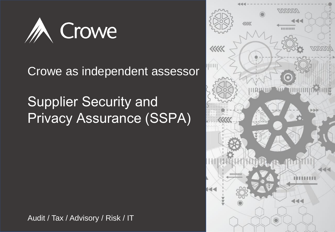

### Crowe as independent assessor

## Supplier Security and Privacy Assurance (SSPA)

Audit / Tax / Advisory / Risk / IT

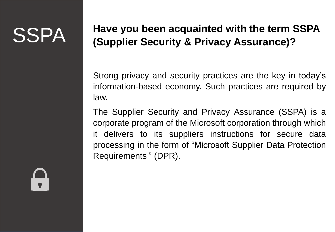# SSPA

### **Have you been acquainted with the term SSPA (Supplier Security & Privacy Assurance)?**

Strong privacy and security practices are the key in today's information-based economy. Such practices are required by law.

The Supplier Security and Privacy Assurance (SSPA) is a corporate program of the Microsoft corporation through which it delivers to its suppliers instructions for secure data processing in the form of "Microsoft Supplier Data Protection Requirements " (DPR).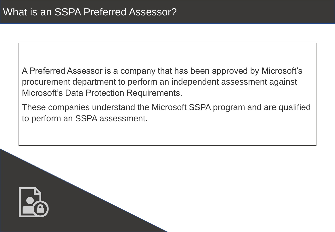A Preferred Assessor is a company that has been approved by Microsoft's procurement department to perform an independent assessment against Microsoft's Data Protection Requirements.

These companies understand the Microsoft SSPA program and are qualified to perform an SSPA assessment.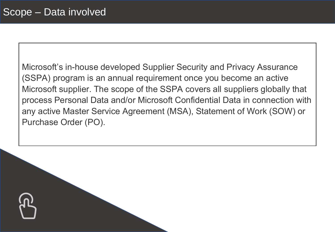Microsoft's in-house developed Supplier Security and Privacy Assurance (SSPA) program is an annual requirement once you become an active Microsoft supplier. The scope of the SSPA covers all suppliers globally that process Personal Data and/or Microsoft Confidential Data in connection with any active Master Service Agreement (MSA), Statement of Work (SOW) or Purchase Order (PO).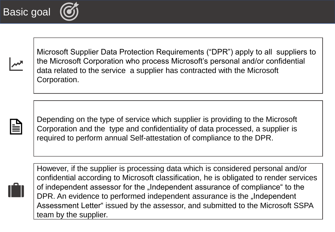Basic goal

Microsoft Supplier Data Protection Requirements ("DPR") apply to all suppliers to the Microsoft Corporation who process Microsoft's personal and/or confidential data related to the service a supplier has contracted with the Microsoft Corporation.



Depending on the type of service which supplier is providing to the Microsoft Corporation and the type and confidentiality of data processed, a supplier is required to perform annual Self-attestation of compliance to the DPR.



However, if the supplier is processing data which is considered personal and/or confidential according to Microsoft classification, he is obligated to render services of independent assessor for the "Independent assurance of compliance" to the DPR. An evidence to performed independent assurance is the "Independent Assessment Letter" issued by the assessor, and submitted to the Microsoft SSPA team by the supplier.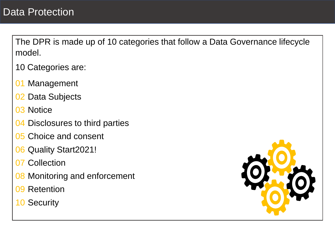The DPR is made up of 10 categories that follow a Data Governance lifecycle model.

10 Categories are:

- 01 Management
- 02 Data Subjects
- 03 Notice
- 04 Disclosures to third parties
- 05 Choice and consent
- 06 Quality Start2021!
- 07 Collection
- **08 Monitoring and enforcement**
- 09 Retention
- 10 Security

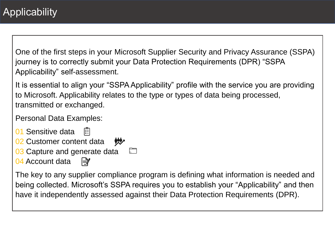One of the first steps in your Microsoft Supplier Security and Privacy Assurance (SSPA) journey is to correctly submit your Data Protection Requirements (DPR) "SSPA Applicability" self-assessment.

It is essential to align your "SSPA Applicability" profile with the service you are providing to Microsoft. Applicability relates to the type or types of data being processed, transmitted or exchanged.

Personal Data Examples:

- 01 Sensitive data
- 02 Customer content data 炒
- **03 Capture and generate data**
- 04 Account data |⊉″

The key to any supplier compliance program is defining what information is needed and being collected. Microsoft's SSPA requires you to establish your "Applicability" and then have it independently assessed against their Data Protection Requirements (DPR).